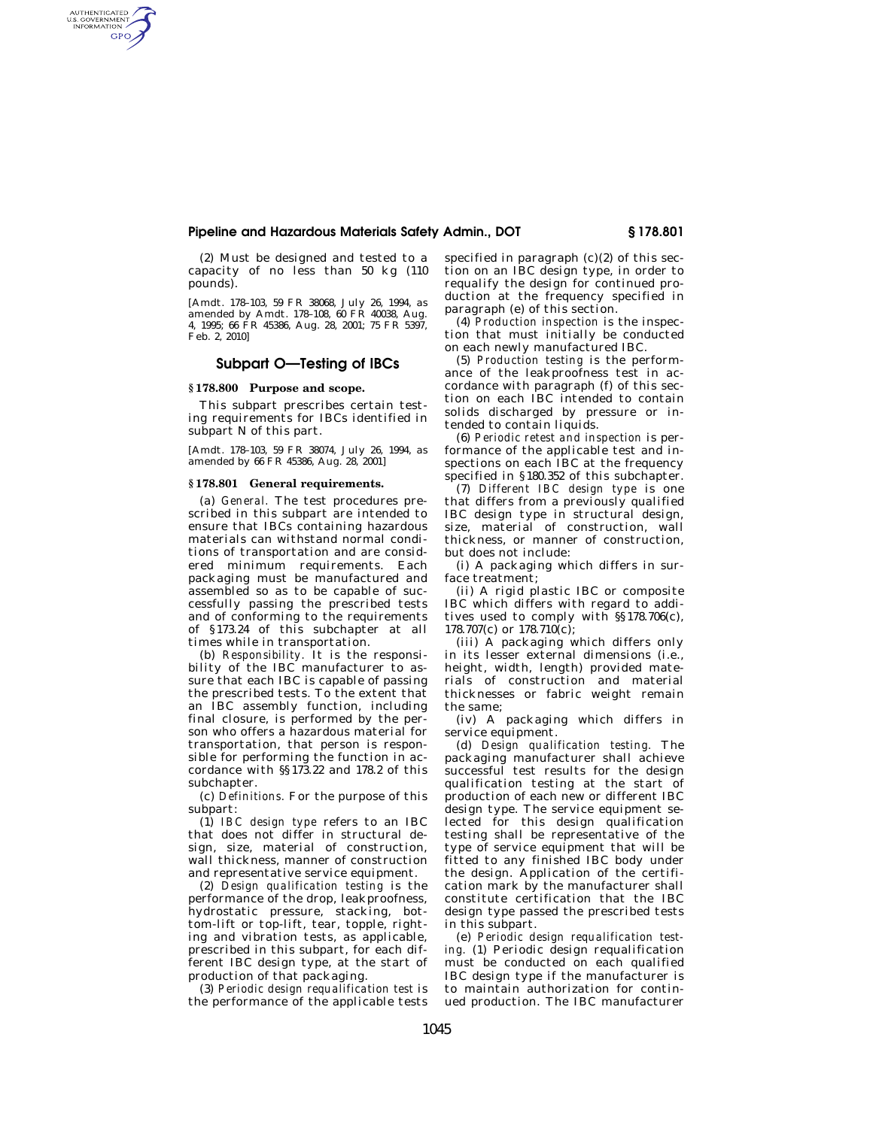## **Pipeline and Hazardous Materials Safety Admin., DOT § 178.801**

(2) Must be designed and tested to a capacity of no less than 50 kg (110 pounds).

[Amdt. 178–103, 59 FR 38068, July 26, 1994, as amended by Amdt. 178–108, 60 FR 40038, Aug. 4, 1995; 66 FR 45386, Aug. 28, 2001; 75 FR 5397, Feb. 2, 2010]

## **Subpart O—Testing of IBCs**

# **§ 178.800 Purpose and scope.**

AUTHENTICATED<br>U.S. GOVERNMENT<br>INFORMATION **GPO** 

> This subpart prescribes certain testing requirements for IBCs identified in subpart N of this part.

> [Amdt. 178–103, 59 FR 38074, July 26, 1994, as amended by 66 FR 45386, Aug. 28, 2001]

### **§ 178.801 General requirements.**

(a) *General.* The test procedures prescribed in this subpart are intended to ensure that IBCs containing hazardous materials can withstand normal conditions of transportation and are considered minimum requirements. Each packaging must be manufactured and assembled so as to be capable of successfully passing the prescribed tests and of conforming to the requirements of §173.24 of this subchapter at all times while in transportation.

(b) *Responsibility.* It is the responsibility of the IBC manufacturer to assure that each IBC is capable of passing the prescribed tests. To the extent that an IBC assembly function, including final closure, is performed by the person who offers a hazardous material for transportation, that person is responsible for performing the function in accordance with §§173.22 and 178.2 of this subchapter.

(c) *Definitions.* For the purpose of this subpart:

(1) *IBC design type* refers to an IBC that does not differ in structural design, size, material of construction. wall thickness, manner of construction and representative service equipment.

(2) *Design qualification testing* is the performance of the drop, leakproofness, hydrostatic pressure, stacking, bottom-lift or top-lift, tear, topple, righting and vibration tests, as applicable, prescribed in this subpart, for each different IBC design type, at the start of production of that packaging.

(3) *Periodic design requalification test* is the performance of the applicable tests specified in paragraph  $(c)(2)$  of this section on an IBC design type, in order to requalify the design for continued production at the frequency specified in paragraph (e) of this section.

(4) *Production inspection* is the inspection that must initially be conducted on each newly manufactured IBC.

(5) *Production testing* is the performance of the leakproofness test in accordance with paragraph (f) of this section on each IBC intended to contain solids discharged by pressure or intended to contain liquids.

(6) *Periodic retest and inspection* is performance of the applicable test and inspections on each IBC at the frequency specified in §180.352 of this subchapter.

(7) *Different IBC design type* is one that differs from a previously qualified IBC design type in structural design, size, material of construction, wall thickness, or manner of construction, but does not include:

(i) A packaging which differs in surface treatment;

(ii) A rigid plastic IBC or composite IBC which differs with regard to additives used to comply with §§178.706(c), 178.707(c) or 178.710(c);

(iii) A packaging which differs only in its lesser external dimensions (i.e., height, width, length) provided materials of construction and material thicknesses or fabric weight remain the same;

(iv) A packaging which differs in service equipment.

(d) *Design qualification testing.* The packaging manufacturer shall achieve successful test results for the design qualification testing at the start of production of each new or different IBC design type. The service equipment selected for this design qualification testing shall be representative of the type of service equipment that will be fitted to any finished IBC body under the design. Application of the certification mark by the manufacturer shall constitute certification that the IBC design type passed the prescribed tests in this subpart.

(e) *Periodic design requalification testing.* (1) Periodic design requalification must be conducted on each qualified IBC design type if the manufacturer is to maintain authorization for continued production. The IBC manufacturer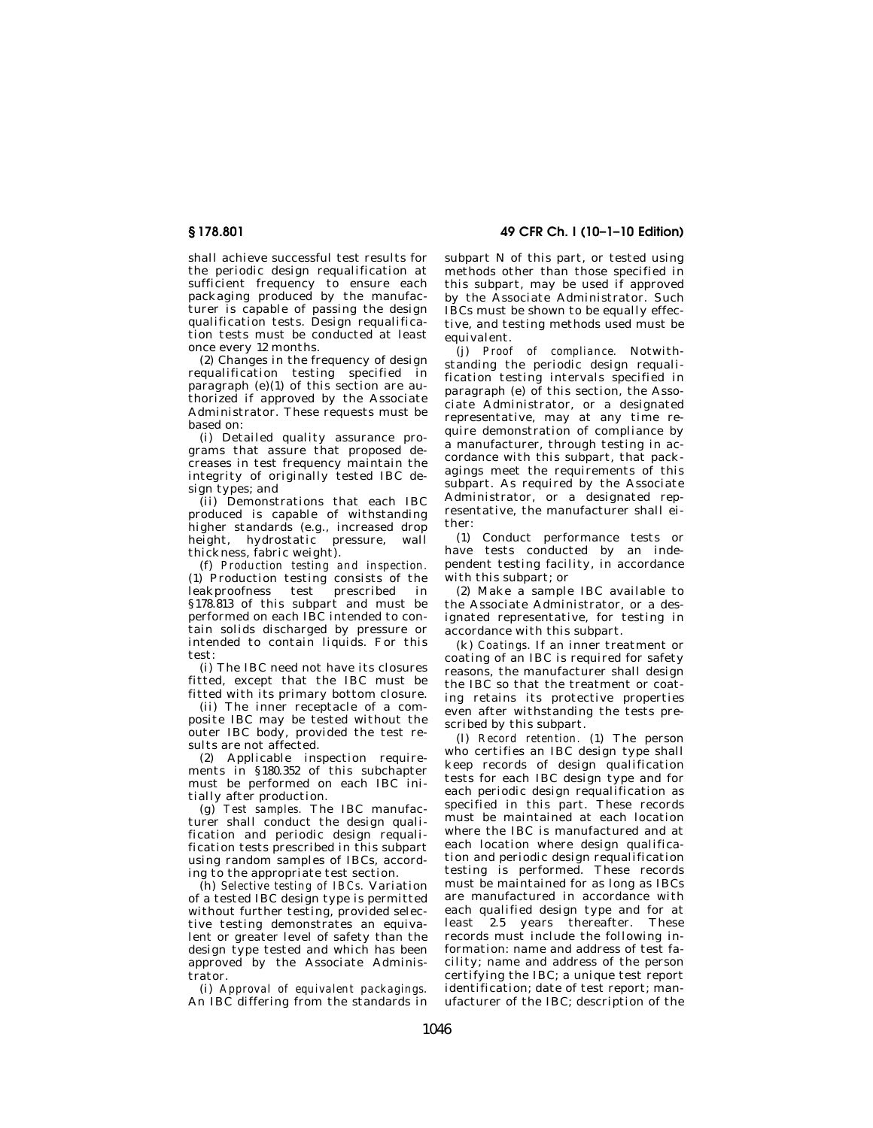shall achieve successful test results for the periodic design requalification at sufficient frequency to ensure each packaging produced by the manufacturer is capable of passing the design qualification tests. Design requalification tests must be conducted at least once every 12 months.

(2) Changes in the frequency of design requalification testing specified in paragraph (e)(1) of this section are authorized if approved by the Associate Administrator. These requests must be based on:

(i) Detailed quality assurance programs that assure that proposed decreases in test frequency maintain the integrity of originally tested IBC design types; and

(ii) Demonstrations that each IBC produced is capable of withstanding .<br>higher standards (e.g., increased drop<br>height, hydrostatic pressure. wall height, hydrostatic pressure, thickness, fabric weight).

(f) *Production testing and inspection.*  (1) Production testing consists of the leakproofness test prescribed in §178.813 of this subpart and must be performed on each IBC intended to contain solids discharged by pressure or intended to contain liquids. For this test:

(i) The IBC need not have its closures fitted, except that the IBC must be fitted with its primary bottom closure.

(ii) The inner receptacle of a composite IBC may be tested without the outer IBC body, provided the test results are not affected.

(2) Applicable inspection requirements in §180.352 of this subchapter must be performed on each IBC initially after production.

(g) *Test samples.* The IBC manufacturer shall conduct the design qualification and periodic design requalification tests prescribed in this subpart using random samples of IBCs, according to the appropriate test section.

(h) *Selective testing of IBCs.* Variation of a tested IBC design type is permitted without further testing, provided selective testing demonstrates an equivalent or greater level of safety than the design type tested and which has been approved by the Associate Administrator.

(i) *Approval of equivalent packagings.*  An IBC differing from the standards in

**§ 178.801 49 CFR Ch. I (10–1–10 Edition)** 

subpart N of this part, or tested using methods other than those specified in this subpart, may be used if approved by the Associate Administrator. Such IBCs must be shown to be equally effective, and testing methods used must be equivalent.

(j) *Proof of compliance.* Notwithstanding the periodic design requalification testing intervals specified in paragraph (e) of this section, the Associate Administrator, or a designated representative, may at any time require demonstration of compliance by a manufacturer, through testing in accordance with this subpart, that packagings meet the requirements of this subpart. As required by the Associate Administrator, or a designated representative, the manufacturer shall either:

(1) Conduct performance tests or have tests conducted by an independent testing facility, in accordance with this subpart; or

(2) Make a sample IBC available to the Associate Administrator, or a designated representative, for testing in accordance with this subpart.

(k) *Coatings.* If an inner treatment or coating of an IBC is required for safety reasons, the manufacturer shall design the IBC so that the treatment or coating retains its protective properties even after withstanding the tests prescribed by this subpart.

(l) *Record retention.* (1) The person who certifies an IBC design type shall keep records of design qualification tests for each IBC design type and for each periodic design requalification as specified in this part. These records must be maintained at each location where the IBC is manufactured and at each location where design qualification and periodic design requalification testing is performed. These records must be maintained for as long as IBCs are manufactured in accordance with each qualified design type and for at least 2.5 years thereafter. These records must include the following information: name and address of test facility; name and address of the person certifying the IBC; a unique test report identification; date of test report; manufacturer of the IBC; description of the